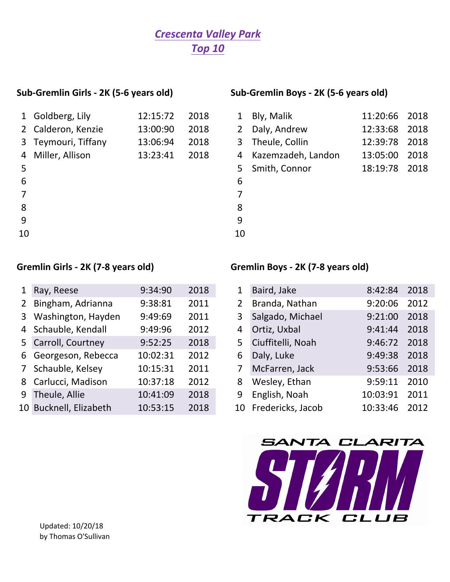# *Crescenta Valley Park Top 10*

|    | 1 Goldberg, Lily    | 12:15:72 | 2018 |    |
|----|---------------------|----------|------|----|
|    | 2 Calderon, Kenzie  | 13:00:90 | 2018 | 2  |
|    | 3 Teymouri, Tiffany | 13:06:94 | 2018 | 3  |
| 4  | Miller, Allison     | 13:23:41 | 2018 | 4  |
| 5  |                     |          |      | 5  |
| 6  |                     |          |      | 6  |
|    |                     |          |      |    |
| 8  |                     |          |      | 8  |
| 9  |                     |          |      | q  |
| 10 |                     |          |      | 10 |
|    |                     |          |      |    |

### Sub-Gremlin Girls - 2K (5-6 years old) Sub-Gremlin Boys - 2K (5-6 years old)

|                | 1 Goldberg, Lily    | 12:15:72 | 2018 | $\mathbf{1}$ | Bly, Malik           | 11:20:66 2018 |      |
|----------------|---------------------|----------|------|--------------|----------------------|---------------|------|
|                | 2 Calderon, Kenzie  | 13:00:90 | 2018 | $2^{\circ}$  | Daly, Andrew         | 12:33:68 2018 |      |
|                | 3 Teymouri, Tiffany | 13:06:94 | 2018 | 3            | Theule, Collin       | 12:39:78      | 2018 |
|                | 4 Miller, Allison   | 13:23:41 | 2018 |              | 4 Kazemzadeh, Landon | 13:05:00      | 2018 |
| 5              |                     |          |      | 5.           | Smith, Connor        | 18:19:78      | 2018 |
| 6              |                     |          |      | 6            |                      |               |      |
| $\overline{7}$ |                     |          |      |              |                      |               |      |
| 8              |                     |          |      | 8            |                      |               |      |
|                |                     |          |      |              |                      |               |      |

- 
- 

## Gremlin Girls - 2K (7-8 years old) Gremlin Boys - 2K (7-8 years old)

| 1 Ray, Reese           | 9:34:90  | 2018 | 1              | Baird, Jake          | 8:42:84  | 2018 |
|------------------------|----------|------|----------------|----------------------|----------|------|
| 2 Bingham, Adrianna    | 9:38:81  | 2011 | 2              | Branda, Nathan       | 9:20:06  | 2012 |
| 3 Washington, Hayden   | 9:49:69  | 2011 | 3              | Salgado, Michael     | 9:21:00  | 2018 |
| 4 Schauble, Kendall    | 9:49:96  | 2012 | 4              | Ortiz, Uxbal         | 9:41:44  | 2018 |
| 5 Carroll, Courtney    | 9:52:25  | 2018 | 5 <sup>1</sup> | Ciuffitelli, Noah    | 9:46:72  | 2018 |
| 6 Georgeson, Rebecca   | 10:02:31 | 2012 | 6              | Daly, Luke           | 9:49:38  | 2018 |
| 7 Schauble, Kelsey     | 10:15:31 | 2011 | 7              | McFarren, Jack       | 9:53:66  | 2018 |
| 8 Carlucci, Madison    | 10:37:18 | 2012 | 8              | Wesley, Ethan        | 9:59:11  | 2010 |
| 9 Theule, Allie        | 10:41:09 | 2018 | 9              | English, Noah        | 10:03:91 | 2011 |
| 10 Bucknell, Elizabeth | 10:53:15 | 2018 |                | 10 Fredericks, Jacob | 10:33:46 | 2012 |
|                        |          |      |                |                      |          |      |

| 1              | Baird, Jake       | 8:42:84  | 2018 |
|----------------|-------------------|----------|------|
| $\overline{2}$ | Branda, Nathan    | 9:20:06  | 2012 |
| 3              | Salgado, Michael  | 9:21:00  | 2018 |
| 4              | Ortiz, Uxbal      | 9:41:44  | 2018 |
| 5              | Ciuffitelli, Noah | 9:46:72  | 2018 |
| 6              | Daly, Luke        | 9:49:38  | 2018 |
| $\overline{7}$ | McFarren, Jack    | 9:53:66  | 2018 |
| 8              | Wesley, Ethan     | 9:59:11  | 2010 |
| 9              | English, Noah     | 10:03:91 | 2011 |
| 10             | Fredericks, Jacob | 10:33:46 | 2012 |
|                |                   |          |      |

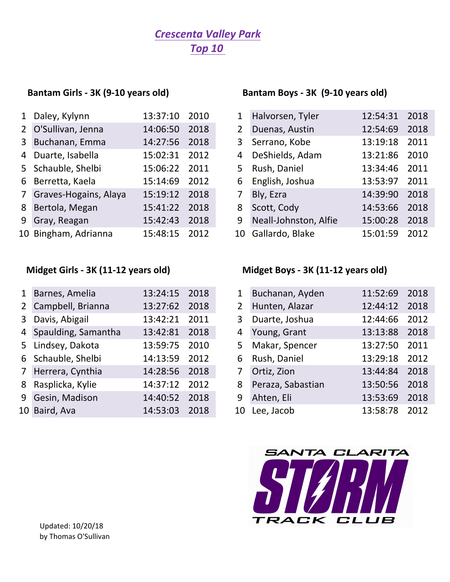# *Crescenta Valley Park Top 10*

|   | 1 Daley, Kylynn         | 13:37:10 2010 |      |
|---|-------------------------|---------------|------|
|   | 2 O'Sullivan, Jenna     | 14:06:50      | 2018 |
|   | 3 Buchanan, Emma        | 14:27:56      | 2018 |
|   | 4 Duarte, Isabella      | 15:02:31      | 2012 |
|   | 5 Schauble, Shelbi      | 15:06:22      | 2011 |
|   | 6 Berretta, Kaela       | 15:14:69      | 2012 |
|   | 7 Graves-Hogains, Alaya | 15:19:12      | 2018 |
|   | 8 Bertola, Megan        | 15:41:22      | 2018 |
| 9 | Gray, Reagan            | 15:42:43      | 2018 |
|   | 10 Bingham, Adrianna    | 15:48:15      | 2012 |

| 1 Barnes, Amelia      | 13:24:15      | 2018 | 1              | Buchanan, Ayden   | 11:52:69 | 2018 |
|-----------------------|---------------|------|----------------|-------------------|----------|------|
| 2 Campbell, Brianna   | 13:27:62      | 2018 | $\overline{2}$ | Hunten, Alazar    | 12:44:12 | 2018 |
| 3 Davis, Abigail      | 13:42:21      | 2011 | 3              | Duarte, Joshua    | 12:44:66 | 2012 |
| 4 Spaulding, Samantha | 13:42:81      | 2018 | 4              | Young, Grant      | 13:13:88 | 2018 |
| 5 Lindsey, Dakota     | 13:59:75      | 2010 | 5              | Makar, Spencer    | 13:27:50 | 2011 |
| 6 Schauble, Shelbi    | 14:13:59      | 2012 | 6              | Rush, Daniel      | 13:29:18 | 2012 |
| 7 Herrera, Cynthia    | 14:28:56 2018 |      | $\overline{7}$ | Ortiz, Zion       | 13:44:84 | 2018 |
| 8 Rasplicka, Kylie    | 14:37:12      | 2012 | 8              | Peraza, Sabastian | 13:50:56 | 2018 |
| 9 Gesin, Madison      | 14:40:52      | 2018 | 9              | Ahten, Eli        | 13:53:69 | 2018 |
| 10 Baird, Ava         | 14:53:03      | 2018 |                | 10 Lee, Jacob     | 13:58:78 | 2012 |
|                       |               |      |                |                   |          |      |

## Bantam Girls - 3K (9-10 years old) **Bantam Boys** - 3K (9-10 years old)

| 1 Daley, Kylynn         | 13:37:10 | 2010 | 1              | Halvorsen, Tyler      | 12:54:31 | 2018 |
|-------------------------|----------|------|----------------|-----------------------|----------|------|
| 2 O'Sullivan, Jenna     | 14:06:50 | 2018 | $2^{\circ}$    | Duenas, Austin        | 12:54:69 | 2018 |
| 3 Buchanan, Emma        | 14:27:56 | 2018 | 3 <sup>1</sup> | Serrano, Kobe         | 13:19:18 | 2011 |
| 4 Duarte, Isabella      | 15:02:31 | 2012 | $\overline{4}$ | DeShields, Adam       | 13:21:86 | 2010 |
| 5 Schauble, Shelbi      | 15:06:22 | 2011 |                | 5 Rush, Daniel        | 13:34:46 | 2011 |
| 6 Berretta, Kaela       | 15:14:69 | 2012 | 6              | English, Joshua       | 13:53:97 | 2011 |
| 7 Graves-Hogains, Alaya | 15:19:12 | 2018 | 7              | Bly, Ezra             | 14:39:90 | 2018 |
| 8 Bertola, Megan        | 15:41:22 | 2018 | 8              | Scott, Cody           | 14:53:66 | 2018 |
| 9 Gray, Reagan          | 15:42:43 | 2018 | 9              | Neall-Johnston, Alfie | 15:00:28 | 2018 |
| 10 Bingham, Adrianna    | 15:48:15 | 2012 |                | 10 Gallardo, Blake    | 15:01:59 | 2012 |

# Midget Girls - 3K (11-12 years old) Midget Boys - 3K (11-12 years old)

| $\mathbf{1}$   | Buchanan, Ayden   | 11:52:69      | 2018 |
|----------------|-------------------|---------------|------|
| $\overline{2}$ | Hunten, Alazar    | 12:44:12 2018 |      |
| 3              | Duarte, Joshua    | 12:44:66      | 2012 |
| 4              | Young, Grant      | 13:13:88      | 2018 |
| 5              | Makar, Spencer    | 13:27:50 2011 |      |
| 6              | Rush, Daniel      | 13:29:18      | 2012 |
| $7^{\circ}$    | Ortiz, Zion       | 13:44:84      | 2018 |
| 8              | Peraza, Sabastian | 13:50:56      | 2018 |
| 9              | Ahten, Eli        | 13:53:69      | 2018 |
| 10             | Lee, Jacob        | 13:58:78      | 2012 |